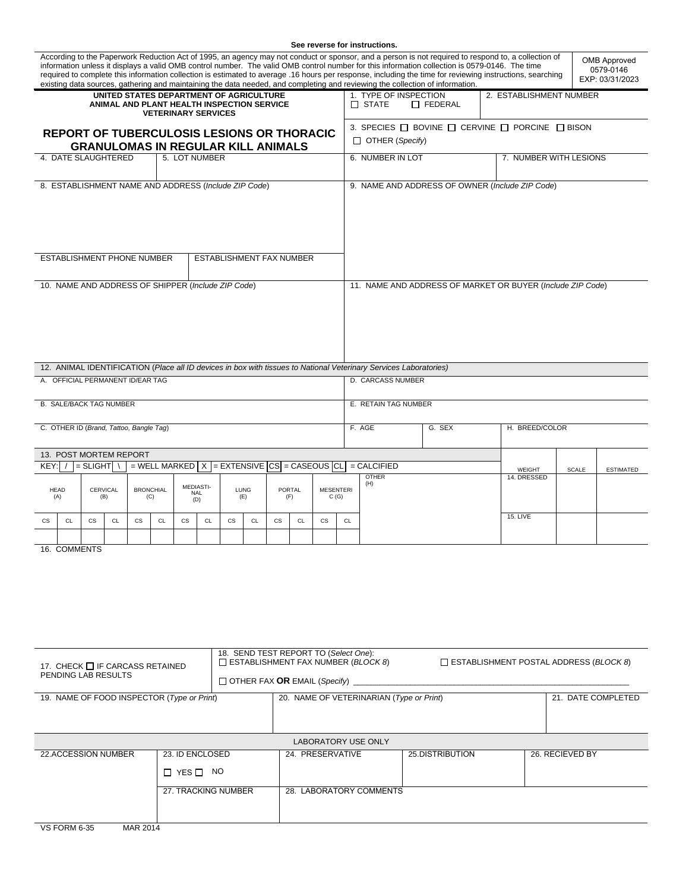| See reverse for instructions.                                                                                                                                                                                                                                                                                                                                                                                                                                                                                                                                                                                                                              |                        |           |    |                                                                                                   |    |           |                  |                          |                                                            |                                                 |                     |                                                                                               |                  |                 |  |  |  |
|------------------------------------------------------------------------------------------------------------------------------------------------------------------------------------------------------------------------------------------------------------------------------------------------------------------------------------------------------------------------------------------------------------------------------------------------------------------------------------------------------------------------------------------------------------------------------------------------------------------------------------------------------------|------------------------|-----------|----|---------------------------------------------------------------------------------------------------|----|-----------|------------------|--------------------------|------------------------------------------------------------|-------------------------------------------------|---------------------|-----------------------------------------------------------------------------------------------|------------------|-----------------|--|--|--|
| According to the Paperwork Reduction Act of 1995, an agency may not conduct or sponsor, and a person is not required to respond to, a collection of<br><b>OMB Approved</b><br>information unless it displays a valid OMB control number. The valid OMB control number for this information collection is 0579-0146. The time<br>0579-0146<br>required to complete this information collection is estimated to average .16 hours per response, including the time for reviewing instructions, searching<br>EXP: 03/31/2023<br>existing data sources, gathering and maintaining the data needed, and completing and reviewing the collection of information. |                        |           |    |                                                                                                   |    |           |                  |                          |                                                            |                                                 |                     |                                                                                               |                  |                 |  |  |  |
| UNITED STATES DEPARTMENT OF AGRICULTURE<br>ANIMAL AND PLANT HEALTH INSPECTION SERVICE<br><b>VETERINARY SERVICES</b>                                                                                                                                                                                                                                                                                                                                                                                                                                                                                                                                        |                        |           |    |                                                                                                   |    |           |                  |                          |                                                            |                                                 |                     | 1. TYPE OF INSPECTION<br>2. ESTABLISHMENT NUMBER<br>$\Box$ FEDERAL<br>$\Box$ STATE            |                  |                 |  |  |  |
| <b>REPORT OF TUBERCULOSIS LESIONS OR THORACIC</b><br><b>GRANULOMAS IN REGULAR KILL ANIMALS</b><br>4. DATE SLAUGHTERED                                                                                                                                                                                                                                                                                                                                                                                                                                                                                                                                      |                        |           |    |                                                                                                   |    |           |                  |                          |                                                            |                                                 |                     | 3. SPECIES $\Box$ BOVINE $\Box$ CERVINE $\Box$ PORCINE $\Box$ BISON<br>$\Box$ OTHER (Specify) |                  |                 |  |  |  |
|                                                                                                                                                                                                                                                                                                                                                                                                                                                                                                                                                                                                                                                            | 5. LOT NUMBER          |           |    |                                                                                                   |    |           | 6. NUMBER IN LOT |                          | 7. NUMBER WITH LESIONS                                     |                                                 |                     |                                                                                               |                  |                 |  |  |  |
| 8. ESTABLISHMENT NAME AND ADDRESS (Include ZIP Code)                                                                                                                                                                                                                                                                                                                                                                                                                                                                                                                                                                                                       |                        |           |    |                                                                                                   |    |           |                  |                          |                                                            | 9. NAME AND ADDRESS OF OWNER (Include ZIP Code) |                     |                                                                                               |                  |                 |  |  |  |
| <b>ESTABLISHMENT PHONE NUMBER</b><br><b>ESTABLISHMENT FAX NUMBER</b>                                                                                                                                                                                                                                                                                                                                                                                                                                                                                                                                                                                       |                        |           |    |                                                                                                   |    |           |                  |                          |                                                            |                                                 |                     |                                                                                               |                  |                 |  |  |  |
| 10. NAME AND ADDRESS OF SHIPPER (Include ZIP Code)                                                                                                                                                                                                                                                                                                                                                                                                                                                                                                                                                                                                         |                        |           |    |                                                                                                   |    |           |                  |                          | 11. NAME AND ADDRESS OF MARKET OR BUYER (Include ZIP Code) |                                                 |                     |                                                                                               |                  |                 |  |  |  |
| 12. ANIMAL IDENTIFICATION (Place all ID devices in box with tissues to National Veterinary Services Laboratories)                                                                                                                                                                                                                                                                                                                                                                                                                                                                                                                                          |                        |           |    |                                                                                                   |    |           |                  |                          |                                                            |                                                 |                     |                                                                                               |                  |                 |  |  |  |
| A. OFFICIAL PERMANENT ID/EAR TAG                                                                                                                                                                                                                                                                                                                                                                                                                                                                                                                                                                                                                           |                        |           |    |                                                                                                   |    |           |                  |                          | <b>D. CARCASS NUMBER</b>                                   |                                                 |                     |                                                                                               |                  |                 |  |  |  |
| <b>B. SALE/BACK TAG NUMBER</b>                                                                                                                                                                                                                                                                                                                                                                                                                                                                                                                                                                                                                             |                        |           |    |                                                                                                   |    |           |                  |                          |                                                            | E. RETAIN TAG NUMBER                            |                     |                                                                                               |                  |                 |  |  |  |
| C. OTHER ID (Brand, Tattoo, Bangle Tag)                                                                                                                                                                                                                                                                                                                                                                                                                                                                                                                                                                                                                    |                        |           |    |                                                                                                   |    |           |                  |                          | F. AGE                                                     | G. SEX                                          |                     | H. BREED/COLOR                                                                                |                  |                 |  |  |  |
|                                                                                                                                                                                                                                                                                                                                                                                                                                                                                                                                                                                                                                                            | 13. POST MORTEM REPORT |           |    |                                                                                                   |    |           |                  |                          |                                                            |                                                 |                     |                                                                                               |                  |                 |  |  |  |
| $=$ WELL MARKED $\vert X \vert =$ EXTENSIVE $\vert CS \vert =$ CASEOUS $\vert CL \vert$<br>KEY:<br>= SLIGHT  \                                                                                                                                                                                                                                                                                                                                                                                                                                                                                                                                             |                        |           |    |                                                                                                   |    |           |                  |                          | $=$ CALCIFIED                                              |                                                 | WEIGHT              | <b>SCALE</b>                                                                                  | <b>ESTIMATED</b> |                 |  |  |  |
| <b>BRONCHIAL</b><br><b>HEAD</b><br>CERVICAL<br>(B)<br>(A)<br>(C)                                                                                                                                                                                                                                                                                                                                                                                                                                                                                                                                                                                           |                        |           |    | <b>MEDIASTI-</b><br>LUNG<br>PORTAL<br><b>MESENTERI</b><br><b>NAL</b><br>C(G)<br>(E)<br>(F)<br>(D) |    |           |                  |                          |                                                            |                                                 | <b>OTHER</b><br>(H) |                                                                                               | 14. DRESSED      |                 |  |  |  |
| $\mathsf{CS}\xspace$<br>CL                                                                                                                                                                                                                                                                                                                                                                                                                                                                                                                                                                                                                                 | <b>CS</b><br>CL        | <b>CS</b> | CL | $\mathsf{CS}\phantom{0}$                                                                          | CL | <b>CS</b> | CL               | $\mathsf{CS}\phantom{0}$ | CL                                                         | <b>CS</b>                                       | CL                  |                                                                                               |                  | <b>15. LIVE</b> |  |  |  |
|                                                                                                                                                                                                                                                                                                                                                                                                                                                                                                                                                                                                                                                            |                        |           |    |                                                                                                   |    |           |                  |                          |                                                            |                                                 |                     |                                                                                               |                  |                 |  |  |  |
| 16. COMMENTS                                                                                                                                                                                                                                                                                                                                                                                                                                                                                                                                                                                                                                               |                        |           |    |                                                                                                   |    |           |                  |                          |                                                            |                                                 |                     |                                                                                               |                  |                 |  |  |  |

| 17. CHECK I IF CARCASS RETAINED<br>PENDING LAB RESULTS | 18. SEND TEST REPORT TO (Select One):<br>$\Box$ ESTABLISHMENT FAX NUMBER (BLOCK 8) | $\Box$ ESTABLISHMENT POSTAL ADDRESS (BLOCK 8) |                 |  |  |  |  |  |  |  |  |
|--------------------------------------------------------|------------------------------------------------------------------------------------|-----------------------------------------------|-----------------|--|--|--|--|--|--|--|--|
| 19. NAME OF FOOD INSPECTOR (Type or Print)             |                                                                                    | 21. DATE COMPLETED                            |                 |  |  |  |  |  |  |  |  |
|                                                        |                                                                                    |                                               |                 |  |  |  |  |  |  |  |  |
| <b>LABORATORY USE ONLY</b>                             |                                                                                    |                                               |                 |  |  |  |  |  |  |  |  |
| 23. ID ENCLOSED<br>22.ACCESSION NUMBER                 |                                                                                    | 24. PRESERVATIVE                              | 26. RECIEVED BY |  |  |  |  |  |  |  |  |
| $\Box$ YES $\Box$                                      | NO.                                                                                |                                               |                 |  |  |  |  |  |  |  |  |
|                                                        | 27. TRACKING NUMBER                                                                | 28. LABORATORY COMMENTS                       |                 |  |  |  |  |  |  |  |  |
| . <b>.</b>                                             |                                                                                    |                                               |                 |  |  |  |  |  |  |  |  |